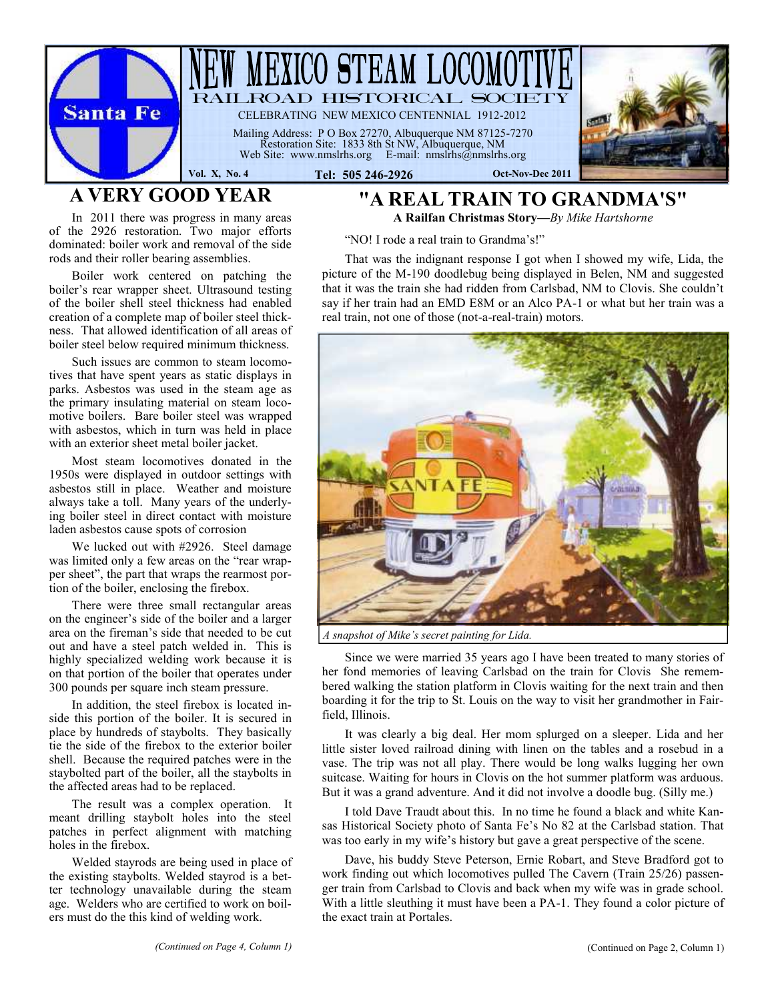

# **A VERY GOOD YEAR**

**"A REAL TRAIN TO GRANDMA'S" A Railfan Christmas Story—***By Mike Hartshorne*

"NO! I rode a real train to Grandma's!"

That was the indignant response I got when I showed my wife, Lida, the picture of the M-190 doodlebug being displayed in Belen, NM and suggested that it was the train she had ridden from Carlsbad, NM to Clovis. She couldn't say if her train had an EMD E8M or an Alco PA-1 or what but her train was a real train, not one of those (not-a-real-train) motors.



*A snapshot of Mike's secret painting for Lida.*

Since we were married 35 years ago I have been treated to many stories of her fond memories of leaving Carlsbad on the train for Clovis She remembered walking the station platform in Clovis waiting for the next train and then boarding it for the trip to St. Louis on the way to visit her grandmother in Fairfield, Illinois.

It was clearly a big deal. Her mom splurged on a sleeper. Lida and her little sister loved railroad dining with linen on the tables and a rosebud in a vase. The trip was not all play. There would be long walks lugging her own suitcase. Waiting for hours in Clovis on the hot summer platform was arduous. But it was a grand adventure. And it did not involve a doodle bug. (Silly me.)

I told Dave Traudt about this. In no time he found a black and white Kansas Historical Society photo of Santa Fe's No 82 at the Carlsbad station. That was too early in my wife's history but gave a great perspective of the scene.

Dave, his buddy Steve Peterson, Ernie Robart, and Steve Bradford got to work finding out which locomotives pulled The Cavern (Train 25/26) passenger train from Carlsbad to Clovis and back when my wife was in grade school. With a little sleuthing it must have been a PA-1. They found a color picture of the exact train at Portales.

In 2011 there was progress in many areas of the 2926 restoration. Two major efforts dominated: boiler work and removal of the side rods and their roller bearing assemblies.

Boiler work centered on patching the boiler's rear wrapper sheet. Ultrasound testing of the boiler shell steel thickness had enabled creation of a complete map of boiler steel thickness. That allowed identification of all areas of boiler steel below required minimum thickness.

Such issues are common to steam locomotives that have spent years as static displays in parks. Asbestos was used in the steam age as the primary insulating material on steam locomotive boilers. Bare boiler steel was wrapped with asbestos, which in turn was held in place with an exterior sheet metal boiler jacket.

Most steam locomotives donated in the 1950s were displayed in outdoor settings with asbestos still in place. Weather and moisture always take a toll. Many years of the underlying boiler steel in direct contact with moisture laden asbestos cause spots of corrosion

We lucked out with #2926. Steel damage was limited only a few areas on the "rear wrapper sheet", the part that wraps the rearmost portion of the boiler, enclosing the firebox.

There were three small rectangular areas on the engineer's side of the boiler and a larger area on the fireman's side that needed to be cut out and have a steel patch welded in. This is highly specialized welding work because it is on that portion of the boiler that operates under 300 pounds per square inch steam pressure.

In addition, the steel firebox is located inside this portion of the boiler. It is secured in place by hundreds of staybolts. They basically tie the side of the firebox to the exterior boiler shell. Because the required patches were in the staybolted part of the boiler, all the staybolts in the affected areas had to be replaced.

The result was a complex operation. It meant drilling staybolt holes into the steel patches in perfect alignment with matching holes in the firebox.

Welded stayrods are being used in place of the existing staybolts. Welded stayrod is a better technology unavailable during the steam age. Welders who are certified to work on boilers must do the this kind of welding work.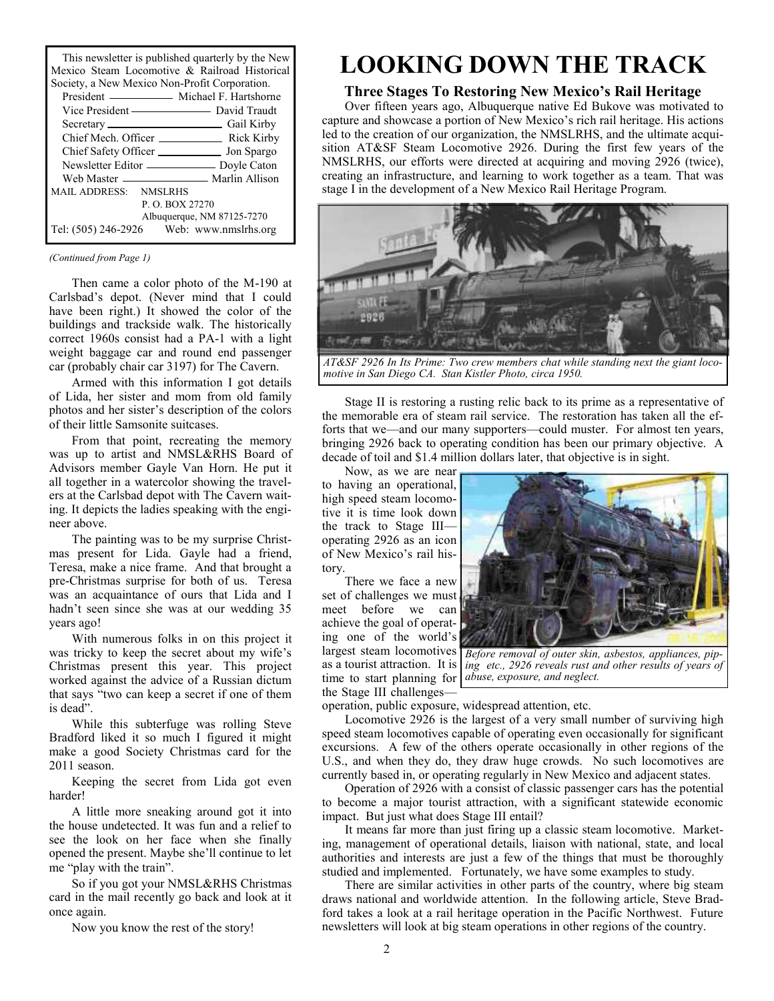This newsletter is published quarterly by the New Mexico Steam Locomotive & Railroad Historical Society, a New Mexico Non-Profit Corporation

| SOCIETY, a TYCW MICATED TYDIT-I TOTH COLDOTATION. |  |  |
|---------------------------------------------------|--|--|
| President — Michael F. Hartshorne                 |  |  |
|                                                   |  |  |
|                                                   |  |  |
|                                                   |  |  |
| Chief Safety Officer _______________ Jon Spargo   |  |  |
| Newsletter Editor _____________ Doyle Caton       |  |  |
|                                                   |  |  |
| MAIL ADDRESS: NMSLRHS                             |  |  |
| P. O. BOX 27270                                   |  |  |
| Albuquerque, NM 87125-7270                        |  |  |
| Tel: (505) 246-2926 Web: www.nmslrhs.org          |  |  |
|                                                   |  |  |

#### *(Continued from Page 1)*

Then came a color photo of the M-190 at Carlsbad's depot. (Never mind that I could have been right.) It showed the color of the buildings and trackside walk. The historically correct 1960s consist had a PA-1 with a light weight baggage car and round end passenger car (probably chair car 3197) for The Cavern.

Armed with this information I got details of Lida, her sister and mom from old family photos and her sister's description of the colors of their little Samsonite suitcases.

From that point, recreating the memory was up to artist and NMSL&RHS Board of Advisors member Gayle Van Horn. He put it all together in a watercolor showing the travelers at the Carlsbad depot with The Cavern waiting. It depicts the ladies speaking with the engineer above.

The painting was to be my surprise Christmas present for Lida. Gayle had a friend, Teresa, make a nice frame. And that brought a pre-Christmas surprise for both of us. Teresa was an acquaintance of ours that Lida and I hadn't seen since she was at our wedding 35 years ago!

With numerous folks in on this project it was tricky to keep the secret about my wife's Christmas present this year. This project worked against the advice of a Russian dictum that says "two can keep a secret if one of them is dead".

While this subterfuge was rolling Steve Bradford liked it so much I figured it might make a good Society Christmas card for the 2011 season.

Keeping the secret from Lida got even harder!

A little more sneaking around got it into the house undetected. It was fun and a relief to see the look on her face when she finally opened the present. Maybe she'll continue to let me "play with the train".

So if you got your NMSL&RHS Christmas card in the mail recently go back and look at it once again.

Now you know the rest of the story!

# **LOOKING DOWN THE TRACK**

### **Three Stages To Restoring New Mexico's Rail Heritage**

Over fifteen years ago, Albuquerque native Ed Bukove was motivated to capture and showcase a portion of New Mexico's rich rail heritage. His actions led to the creation of our organization, the NMSLRHS, and the ultimate acquisition AT&SF Steam Locomotive 2926. During the first few years of the NMSLRHS, our efforts were directed at acquiring and moving 2926 (twice), creating an infrastructure, and learning to work together as a team. That was stage I in the development of a New Mexico Rail Heritage Program.



*AT&SF 2926 In Its Prime: Two crew members chat while standing next the giant locomotive in San Diego CA. Stan Kistler Photo, circa 1950.*

Stage II is restoring a rusting relic back to its prime as a representative of the memorable era of steam rail service. The restoration has taken all the efforts that we—and our many supporters—could muster. For almost ten years, bringing 2926 back to operating condition has been our primary objective. A decade of toil and \$1.4 million dollars later, that objective is in sight.

Now, as we are near to having an operational, high speed steam locomotive it is time look down the track to Stage III operating 2926 as an icon of New Mexico's rail history.

There we face a new set of challenges we must meet before we can achieve the goal of operating one of the world's the Stage III challenges-



largest steam locomotives *Before removal of outer skin, asbestos, appliances, pip*as a tourist attraction. It is *ing etc., 2926 reveals rust and other results of years of* time to start planning for *abuse, exposure, and neglect.*

operation, public exposure, widespread attention, etc.

Locomotive 2926 is the largest of a very small number of surviving high speed steam locomotives capable of operating even occasionally for significant excursions. A few of the others operate occasionally in other regions of the U.S., and when they do, they draw huge crowds. No such locomotives are currently based in, or operating regularly in New Mexico and adjacent states.

Operation of 2926 with a consist of classic passenger cars has the potential to become a major tourist attraction, with a significant statewide economic impact. But just what does Stage III entail?

It means far more than just firing up a classic steam locomotive. Marketing, management of operational details, liaison with national, state, and local authorities and interests are just a few of the things that must be thoroughly studied and implemented. Fortunately, we have some examples to study.

There are similar activities in other parts of the country, where big steam draws national and worldwide attention. In the following article, Steve Bradford takes a look at a rail heritage operation in the Pacific Northwest. Future newsletters will look at big steam operations in other regions of the country.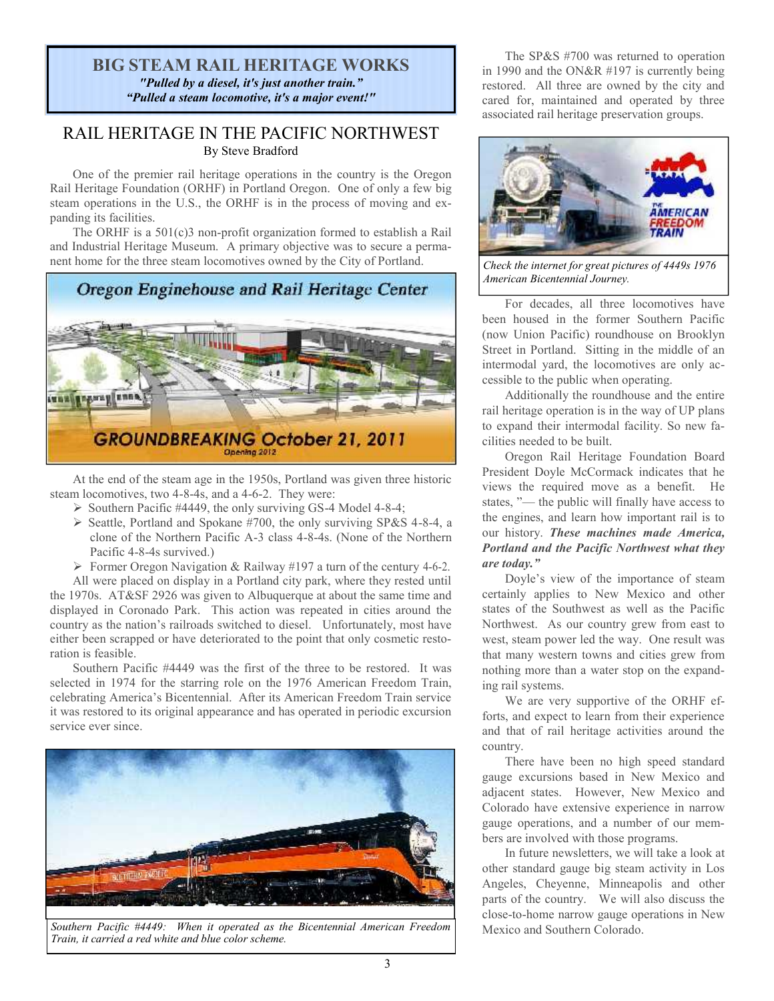### **BIG STEAM RAIL HERITAGE WORKS** *"Pulled by a diesel, it's just another train." "Pulled a steam locomotive, it's a major event!"*

### RAIL HERITAGE IN THE PACIFIC NORTHWEST By Steve Bradford

One of the premier rail heritage operations in the country is the Oregon Rail Heritage Foundation (ORHF) in Portland Oregon. One of only a few big steam operations in the U.S., the ORHF is in the process of moving and expanding its facilities.

The ORHF is a 501(c)3 non-profit organization formed to establish a Rail and Industrial Heritage Museum. A primary objective was to secure a permanent home for the three steam locomotives owned by the City of Portland.



At the end of the steam age in the 1950s, Portland was given three historic steam locomotives, two 4-8-4s, and a 4-6-2. They were:

- $\triangleright$  Southern Pacific #4449, the only surviving GS-4 Model 4-8-4;
- $\triangleright$  Seattle, Portland and Spokane #700, the only surviving SP&S 4-8-4, a clone of the Northern Pacific A-3 class 4-8-4s. (None of the Northern Pacific 4-8-4s survived.)

 $\triangleright$  Former Oregon Navigation & Railway #197 a turn of the century 4-6-2.

All were placed on display in a Portland city park, where they rested until the 1970s. AT&SF 2926 was given to Albuquerque at about the same time and displayed in Coronado Park. This action was repeated in cities around the country as the nation's railroads switched to diesel. Unfortunately, most have either been scrapped or have deteriorated to the point that only cosmetic restoration is feasible.

Southern Pacific #4449 was the first of the three to be restored. It was selected in 1974 for the starring role on the 1976 American Freedom Train, celebrating America's Bicentennial. After its American Freedom Train service it was restored to its original appearance and has operated in periodic excursion service ever since.



Southern Pacific #4449: When it operated as the Bicentennial American Freedom Mexico and Southern Colorado. *Train, it carried a red white and blue color scheme.*

The SP&S #700 was returned to operation in 1990 and the ON&R #197 is currently being restored. All three are owned by the city and cared for, maintained and operated by three associated rail heritage preservation groups.



*Check the internet for great pictures of 4449s 1976 American Bicentennial Journey.*

For decades, all three locomotives have been housed in the former Southern Pacific (now Union Pacific) roundhouse on Brooklyn Street in Portland. Sitting in the middle of an intermodal yard, the locomotives are only accessible to the public when operating.

Additionally the roundhouse and the entire rail heritage operation is in the way of UP plans to expand their intermodal facility. So new facilities needed to be built.

Oregon Rail Heritage Foundation Board President Doyle McCormack indicates that he views the required move as a benefit. He states, "— the public will finally have access to the engines, and learn how important rail is to our history. *These machines made America, Portland and the Pacific Northwest what they are today."*

Doyle's view of the importance of steam certainly applies to New Mexico and other states of the Southwest as well as the Pacific Northwest. As our country grew from east to west, steam power led the way. One result was that many western towns and cities grew from nothing more than a water stop on the expanding rail systems.

We are very supportive of the ORHF efforts, and expect to learn from their experience and that of rail heritage activities around the country.

There have been no high speed standard gauge excursions based in New Mexico and adjacent states. However, New Mexico and Colorado have extensive experience in narrow gauge operations, and a number of our members are involved with those programs.

In future newsletters, we will take a look at other standard gauge big steam activity in Los Angeles, Cheyenne, Minneapolis and other parts of the country. We will also discuss the close-to-home narrow gauge operations in New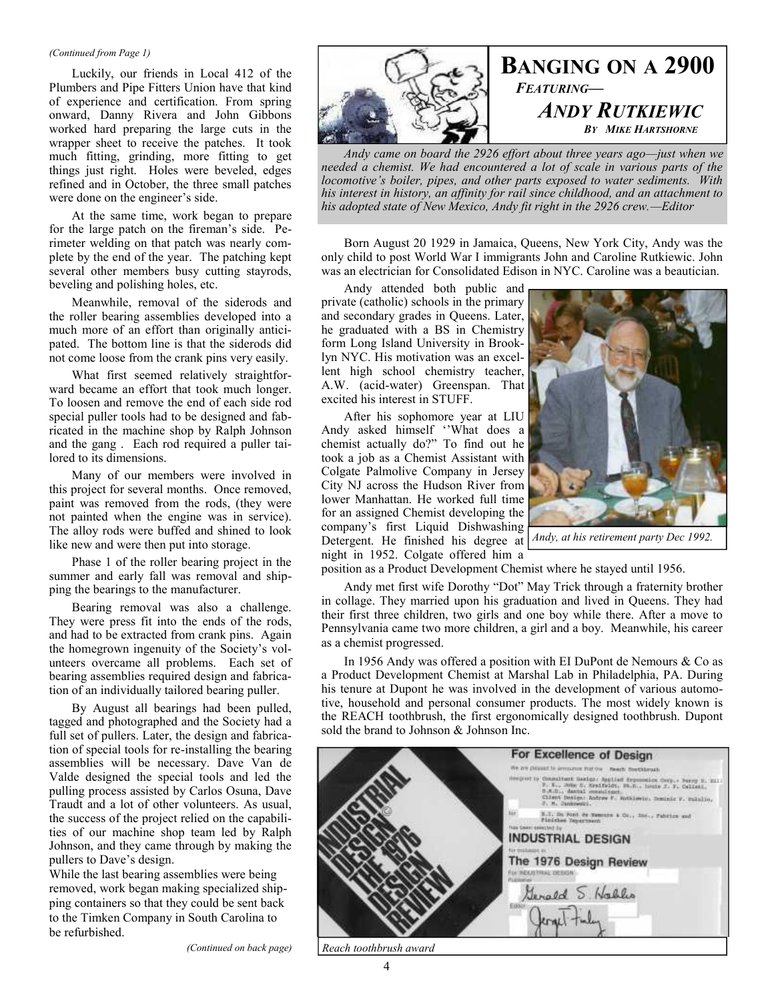#### *(Continued from Page 1)*

Luckily, our friends in Local 412 of the Plumbers and Pipe Fitters Union have that kind of experience and certification. From spring onward, Danny Rivera and John Gibbons worked hard preparing the large cuts in the wrapper sheet to receive the patches. It took much fitting, grinding, more fitting to get things just right. Holes were beveled, edges refined and in October, the three small patches were done on the engineer's side.

At the same time, work began to prepare for the large patch on the fireman's side. Perimeter welding on that patch was nearly complete by the end of the year. The patching kept several other members busy cutting stayrods, beveling and polishing holes, etc.

Meanwhile, removal of the siderods and the roller bearing assemblies developed into a much more of an effort than originally anticipated. The bottom line is that the siderods did not come loose from the crank pins very easily.

What first seemed relatively straightforward became an effort that took much longer. To loosen and remove the end of each side rod special puller tools had to be designed and fabricated in the machine shop by Ralph Johnson and the gang . Each rod required a puller tailored to its dimensions.

Many of our members were involved in this project for several months. Once removed, paint was removed from the rods, (they were not painted when the engine was in service). The alloy rods were buffed and shined to look like new and were then put into storage.

Phase 1 of the roller bearing project in the summer and early fall was removal and shipping the bearings to the manufacturer.

Bearing removal was also a challenge. They were press fit into the ends of the rods, and had to be extracted from crank pins. Again the homegrown ingenuity of the Society's volunteers overcame all problems. Each set of bearing assemblies required design and fabrication of an individually tailored bearing puller.

By August all bearings had been pulled, tagged and photographed and the Society had a full set of pullers. Later, the design and fabrication of special tools for re-installing the bearing assemblies will be necessary. Dave Van de Valde designed the special tools and led the pulling process assisted by Carlos Osuna, Dave Traudt and a lot of other volunteers. As usual, the success of the project relied on the capabilities of our machine shop team led by Ralph Johnson, and they came through by making the pullers to Dave's design.

While the last bearing assemblies were being removed, work began making specialized shipping containers so that they could be sent back to the Timken Company in South Carolina to be refurbished.

*(Continued on back page)*



**BANGING ON A 2900** *FEATURING— ANDY RUTKIEWIC BY MIKE HARTSHORNE*

*Andy came on board the 2926 effort about three years ago—just when we needed a chemist. We had encountered a lot of scale in various parts of the locomotive's boiler, pipes, and other parts exposed to water sediments. With his interest in history, an affinity for rail since childhood, and an attachment to his adopted state of New Mexico, Andy fit right in the 2926 crew.—Editor*

Born August 20 1929 in Jamaica, Queens, New York City, Andy was the only child to post World War I immigrants John and Caroline Rutkiewic. John was an electrician for Consolidated Edison in NYC. Caroline was a beautician.

Andy attended both public and private (catholic) schools in the primary and secondary grades in Queens. Later, he graduated with a BS in Chemistry form Long Island University in Brooklyn NYC. His motivation was an excellent high school chemistry teacher, A.W. (acid-water) Greenspan. That excited his interest in STUFF.

After his sophomore year at LIU Andy asked himself ''What does a chemist actually do?" To find out he took a job as a Chemist Assistant with Colgate Palmolive Company in Jersey City NJ across the Hudson River from lower Manhattan. He worked full time for an assigned Chemist developing the company's first Liquid Dishwashing Detergent. He finished his degree at night in 1952. Colgate offered him a



*Andy, at his retirement party Dec 1992.*

position as a Product Development Chemist where he stayed until 1956.

Andy met first wife Dorothy "Dot" May Trick through a fraternity brother in collage. They married upon his graduation and lived in Queens. They had their first three children, two girls and one boy while there. After a move to Pennsylvania came two more children, a girl and a boy. Meanwhile, his career as a chemist progressed.

In 1956 Andy was offered a position with EI DuPont de Nemours & Co as a Product Development Chemist at Marshal Lab in Philadelphia, PA. During his tenure at Dupont he was involved in the development of various automotive, household and personal consumer products. The most widely known is the REACH toothbrush, the first ergonomically designed toothbrush. Dupont sold the brand to Johnson & Johnson Inc.

| For Excellence of Design                                                                                                                                                                                                                                                                                                                   |
|--------------------------------------------------------------------------------------------------------------------------------------------------------------------------------------------------------------------------------------------------------------------------------------------------------------------------------------------|
| We are present to arrogance that the  Reach Sterblands                                                                                                                                                                                                                                                                                     |
| Hengrad to Consultant Barion: Applied Exponenties Cathy + Parry B. Elli<br>P. K., John R. Mrsifuldt, M.R., Louis J. F. Callett,<br>D.K.D., dartal cocaulingt.<br>Client Design: Andrew F. Autsiewie, Dominic P. Sulalin,<br>F. M. Cancerward, T. S. Sandy Committee of the Committee of the Committee of the Committee of the Committee of |
| kee-<br>N.Z. Du Pont de Nammen & Co., 200., Pabrico and .<br>Paulshee Pepertment<br>FLEE DERECENDED for                                                                                                                                                                                                                                    |
| <b>INDUSTRIAL DESIGN</b>                                                                                                                                                                                                                                                                                                                   |
| <b>THE WARRANTEED</b>                                                                                                                                                                                                                                                                                                                      |
| The 1976 Design Review                                                                                                                                                                                                                                                                                                                     |
| For INSORTHIAL DEBISIN<br><b>PLESSINA</b>                                                                                                                                                                                                                                                                                                  |
| Generald 5 Nables                                                                                                                                                                                                                                                                                                                          |
|                                                                                                                                                                                                                                                                                                                                            |
|                                                                                                                                                                                                                                                                                                                                            |
|                                                                                                                                                                                                                                                                                                                                            |

*Reach toothbrush award*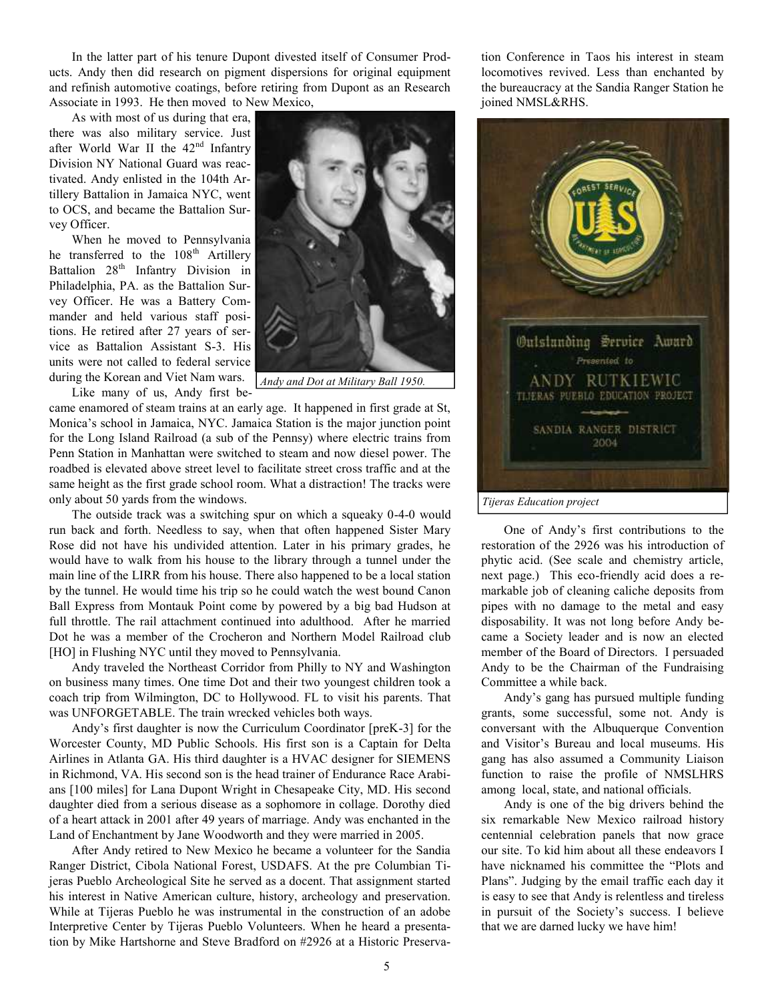In the latter part of his tenure Dupont divested itself of Consumer Products. Andy then did research on pigment dispersions for original equipment and refinish automotive coatings, before retiring from Dupont as an Research Associate in 1993. He then moved to New Mexico,

As with most of us during that era, there was also military service. Just after World War II the  $42<sup>nd</sup>$  Infantry Division NY National Guard was reactivated. Andy enlisted in the 104th Artillery Battalion in Jamaica NYC, went to OCS, and became the Battalion Survey Officer.

When he moved to Pennsylvania he transferred to the 108<sup>th</sup> Artillery Battalion 28<sup>th</sup> Infantry Division in Philadelphia, PA. as the Battalion Survey Officer. He was a Battery Commander and held various staff positions. He retired after 27 years of service as Battalion Assistant S-3. His units were not called to federal service during the Korean and Viet Nam wars.

Like many of us, Andy first be-

came enamored of steam trains at an early age. It happened in first grade at St, Monica's school in Jamaica, NYC. Jamaica Station is the major junction point for the Long Island Railroad (a sub of the Pennsy) where electric trains from Penn Station in Manhattan were switched to steam and now diesel power. The roadbed is elevated above street level to facilitate street cross traffic and at the same height as the first grade school room. What a distraction! The tracks were

only about 50 yards from the windows. The outside track was a switching spur on which a squeaky 0-4-0 would run back and forth. Needless to say, when that often happened Sister Mary Rose did not have his undivided attention. Later in his primary grades, he would have to walk from his house to the library through a tunnel under the main line of the LIRR from his house. There also happened to be a local station by the tunnel. He would time his trip so he could watch the west bound Canon Ball Express from Montauk Point come by powered by a big bad Hudson at full throttle. The rail attachment continued into adulthood. After he married Dot he was a member of the Crocheron and Northern Model Railroad club [HO] in Flushing NYC until they moved to Pennsylvania.

Andy traveled the Northeast Corridor from Philly to NY and Washington on business many times. One time Dot and their two youngest children took a coach trip from Wilmington, DC to Hollywood. FL to visit his parents. That was UNFORGETABLE. The train wrecked vehicles both ways.

Andy's first daughter is now the Curriculum Coordinator [preK-3] for the Worcester County, MD Public Schools. His first son is a Captain for Delta Airlines in Atlanta GA. His third daughter is a HVAC designer for SIEMENS in Richmond, VA. His second son is the head trainer of Endurance Race Arabians [100 miles] for Lana Dupont Wright in Chesapeake City, MD. His second daughter died from a serious disease as a sophomore in collage. Dorothy died of a heart attack in 2001 after 49 years of marriage. Andy was enchanted in the Land of Enchantment by Jane Woodworth and they were married in 2005.

After Andy retired to New Mexico he became a volunteer for the Sandia Ranger District, Cibola National Forest, USDAFS. At the pre Columbian Tijeras Pueblo Archeological Site he served as a docent. That assignment started his interest in Native American culture, history, archeology and preservation. While at Tijeras Pueblo he was instrumental in the construction of an adobe Interpretive Center by Tijeras Pueblo Volunteers. When he heard a presentation by Mike Hartshorne and Steve Bradford on #2926 at a Historic Preserva-

tion Conference in Taos his interest in steam locomotives revived. Less than enchanted by the bureaucracy at the Sandia Ranger Station he joined NMSL&RHS.



One of Andy's first contributions to the restoration of the 2926 was his introduction of phytic acid. (See scale and chemistry article, next page.) This eco-friendly acid does a remarkable job of cleaning caliche deposits from pipes with no damage to the metal and easy disposability. It was not long before Andy became a Society leader and is now an elected member of the Board of Directors. I persuaded Andy to be the Chairman of the Fundraising Committee a while back.

Andy's gang has pursued multiple funding grants, some successful, some not. Andy is conversant with the Albuquerque Convention and Visitor's Bureau and local museums. His gang has also assumed a Community Liaison function to raise the profile of NMSLHRS among local, state, and national officials.

Andy is one of the big drivers behind the six remarkable New Mexico railroad history centennial celebration panels that now grace our site. To kid him about all these endeavors I have nicknamed his committee the "Plots and Plans". Judging by the email traffic each day it is easy to see that Andy is relentless and tireless in pursuit of the Society's success. I believe that we are darned lucky we have him!



*Andy and Dot at Military Ball 1950.*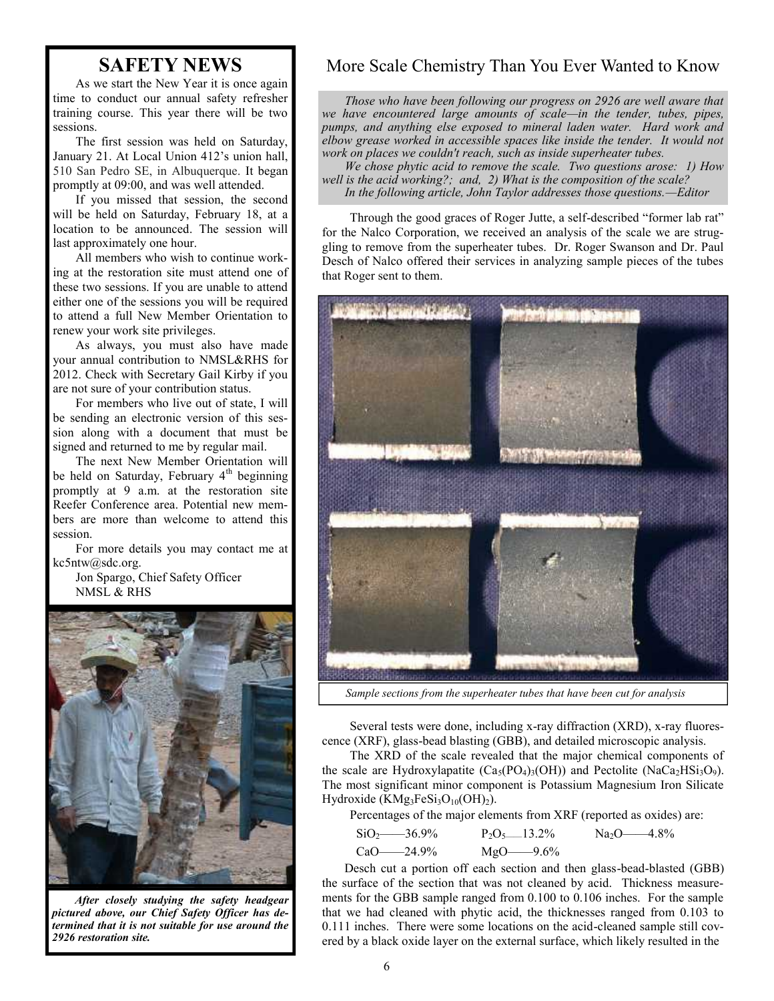# **SAFETY NEWS**

As we start the New Year it is once again time to conduct our annual safety refresher training course. This year there will be two sessions.

The first session was held on Saturday, January 21. At Local Union 412's union hall, 510 San Pedro SE, in Albuquerque. It began promptly at 09:00, and was well attended.

If you missed that session, the second will be held on Saturday, February 18, at a location to be announced. The session will last approximately one hour.

All members who wish to continue working at the restoration site must attend one of these two sessions. If you are unable to attend either one of the sessions you will be required to attend a full New Member Orientation to renew your work site privileges.

As always, you must also have made your annual contribution to NMSL&RHS for 2012. Check with Secretary Gail Kirby if you are not sure of your contribution status.

For members who live out of state, I will be sending an electronic version of this session along with a document that must be signed and returned to me by regular mail.

The next New Member Orientation will be held on Saturday, February 4<sup>th</sup> beginning promptly at 9 a.m. at the restoration site Reefer Conference area. Potential new members are more than welcome to attend this session.

For more details you may contact me at kc5ntw@sdc.org.

Jon Spargo, Chief Safety Officer NMSL & RHS



*After closely studying the safety headgear pictured above, our Chief Safety Officer has determined that it is not suitable for use around the 2926 restoration site.*

### More Scale Chemistry Than You Ever Wanted to Know

*Those who have been following our progress on 2926 are well aware that we have encountered large amounts of scale—in the tender, tubes, pipes, pumps, and anything else exposed to mineral laden water. Hard work and elbow grease worked in accessible spaces like inside the tender. It would not work on places we couldn't reach, such as inside superheater tubes.*

*We chose phytic acid to remove the scale. Two questions arose: 1) How well is the acid working?; and, 2) What is the composition of the scale? In the following article, John Taylor addresses those questions.—Editor*

Through the good graces of Roger Jutte, a self-described "former lab rat" for the Nalco Corporation, we received an analysis of the scale we are struggling to remove from the superheater tubes. Dr. Roger Swanson and Dr. Paul Desch of Nalco offered their services in analyzing sample pieces of the tubes that Roger sent to them.



*Sample sections from the superheater tubes that have been cut for analysis*

Several tests were done, including x-ray diffraction (XRD), x-ray fluorescence (XRF), glass-bead blasting (GBB), and detailed microscopic analysis.

The XRD of the scale revealed that the major chemical components of the scale are Hydroxylapatite  $(Ca_5(PO_4)_3(OH))$  and Pectolite  $(NaCa_2HSi_3O_9)$ . The most significant minor component is Potassium Magnesium Iron Silicate Hydroxide ( $KMg_3FeSi_3O_{10}(OH)_2$ ).

Percentages of the major elements from XRF (reported as oxides) are:

| $SiO_2$ 36.9% | $P_2O_5$ 13.2% | $Na_2O$ -4.8% |
|---------------|----------------|---------------|
| CaO——24.9%    | $MgO$ - 9.6%   |               |

Desch cut a portion off each section and then glass-bead-blasted (GBB) the surface of the section that was not cleaned by acid. Thickness measurements for the GBB sample ranged from 0.100 to 0.106 inches. For the sample that we had cleaned with phytic acid, the thicknesses ranged from 0.103 to 0.111 inches. There were some locations on the acid-cleaned sample still covered by a black oxide layer on the external surface, which likely resulted in the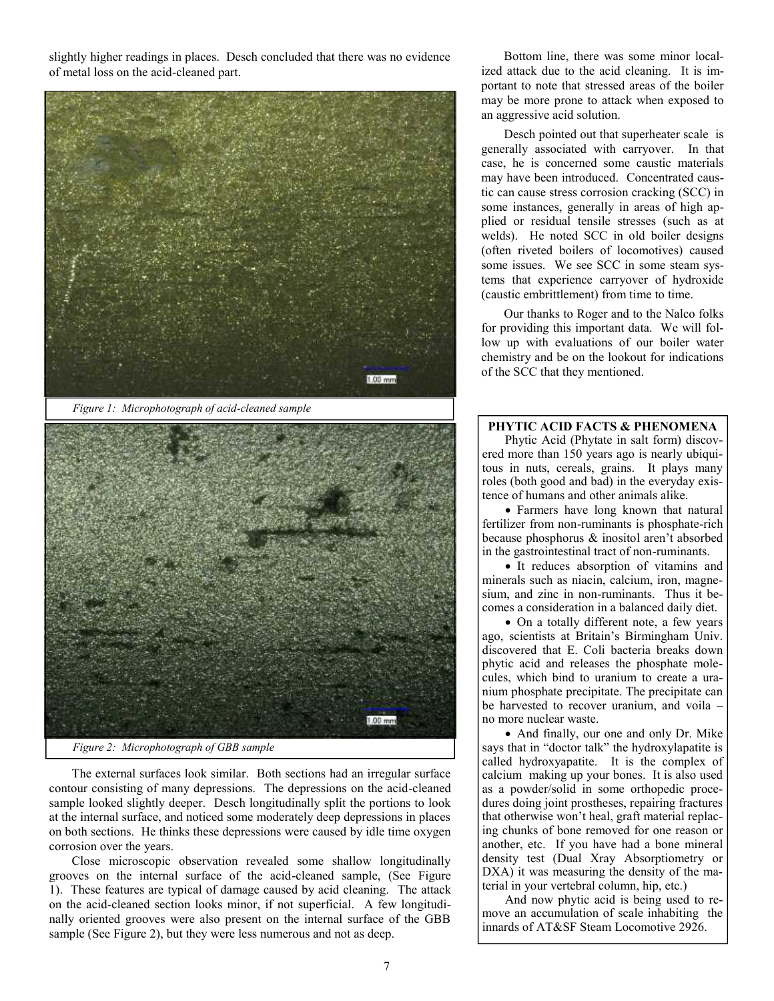slightly higher readings in places. Desch concluded that there was no evidence of metal loss on the acid-cleaned part.





*Figure 2: Microphotograph of GBB sample*

The external surfaces look similar. Both sections had an irregular surface contour consisting of many depressions. The depressions on the acid-cleaned sample looked slightly deeper. Desch longitudinally split the portions to look at the internal surface, and noticed some moderately deep depressions in places on both sections. He thinks these depressions were caused by idle time oxygen corrosion over the years.

Close microscopic observation revealed some shallow longitudinally grooves on the internal surface of the acid-cleaned sample, (See Figure 1). These features are typical of damage caused by acid cleaning. The attack on the acid-cleaned section looks minor, if not superficial. A few longitudinally oriented grooves were also present on the internal surface of the GBB sample (See Figure 2), but they were less numerous and not as deep.

Bottom line, there was some minor localized attack due to the acid cleaning. It is important to note that stressed areas of the boiler may be more prone to attack when exposed to an aggressive acid solution.

Desch pointed out that superheater scale is generally associated with carryover. In that case, he is concerned some caustic materials may have been introduced. Concentrated caustic can cause stress corrosion cracking (SCC) in some instances, generally in areas of high applied or residual tensile stresses (such as at welds). He noted SCC in old boiler designs (often riveted boilers of locomotives) caused some issues. We see SCC in some steam systems that experience carryover of hydroxide (caustic embrittlement) from time to time.

Our thanks to Roger and to the Nalco folks for providing this important data. We will follow up with evaluations of our boiler water chemistry and be on the lookout for indications of the SCC that they mentioned.

#### **PHYTIC ACID FACTS & PHENOMENA**

Phytic Acid (Phytate in salt form) discovered more than 150 years ago is nearly ubiquitous in nuts, cereals, grains. It plays many roles (both good and bad) in the everyday existence of humans and other animals alike.

• Farmers have long known that natural fertilizer from non-ruminants is phosphate-rich because phosphorus & inositol aren't absorbed in the gastrointestinal tract of non-ruminants.

 It reduces absorption of vitamins and minerals such as niacin, calcium, iron, magnesium, and zinc in non-ruminants. Thus it becomes a consideration in a balanced daily diet.

 On a totally different note, a few years ago, scientists at Britain's Birmingham Univ. discovered that E. Coli bacteria breaks down phytic acid and releases the phosphate molecules, which bind to uranium to create a uranium phosphate precipitate. The precipitate can be harvested to recover uranium, and voila – no more nuclear waste.

• And finally, our one and only Dr. Mike says that in "doctor talk" the hydroxylapatite is called hydroxyapatite. It is the complex of calcium making up your bones. It is also used as a powder/solid in some orthopedic procedures doing joint prostheses, repairing fractures that otherwise won't heal, graft material replacing chunks of bone removed for one reason or another, etc. If you have had a bone mineral density test (Dual Xray Absorptiometry or DXA) it was measuring the density of the material in your vertebral column, hip, etc.)

And now phytic acid is being used to remove an accumulation of scale inhabiting the innards of AT&SF Steam Locomotive 2926.